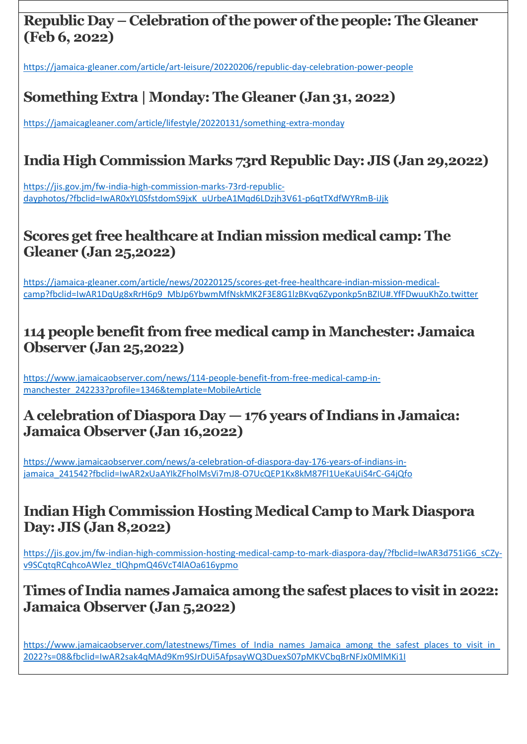## **Republic Day – Celebration of the power of the people: The Gleaner (Feb 6, 2022)**

https://jamaica-gleaner.com/article/art-leisure/20220206/republic-day-celebration-power-people

# **Something Extra | Monday:The Gleaner (Jan 31, 2022)**

<https://jamaicagleaner.com/article/lifestyle/20220131/something-extra-monday>

# **India High Commission Marks 73rd Republic Day: JIS (Jan 29,2022)**

[https://jis.gov.jm/fw-india-high-commission-marks-73rd-republic](https://jis.gov.jm/fw-india-high-commission-marks-73rd-republic-dayphotos/?fbclid=IwAR0xYL0SfstdomS9jxK_uUrbeA1Mqd6LDzjh3V61-p6qtTXdfWYRmB-iJjk)[dayphotos/?fbclid=IwAR0xYL0SfstdomS9jxK\\_uUrbeA1Mqd6LDzjh3V61-p6qtTXdfWYRmB-iJjk](https://jis.gov.jm/fw-india-high-commission-marks-73rd-republic-dayphotos/?fbclid=IwAR0xYL0SfstdomS9jxK_uUrbeA1Mqd6LDzjh3V61-p6qtTXdfWYRmB-iJjk)

# **Scores get free healthcare at Indian mission medical camp: The Gleaner (Jan 25,2022)**

[https://jamaica-gleaner.com/article/news/20220125/scores-get-free-healthcare-indian-mission-medical](https://jamaica-gleaner.com/article/news/20220125/scores-get-free-healthcare-indian-mission-medical-camp?fbclid=IwAR1DqUg8xRrH6p9_MbJp6YbwmMfNskMK2F3E8G1lzBKvq6Zyponkp5nBZIU#.YfFDwuuKhZo.twitter)[camp?fbclid=IwAR1DqUg8xRrH6p9\\_MbJp6YbwmMfNskMK2F3E8G1lzBKvq6Zyponkp5nBZIU#.YfFDwuuKhZo.twitter](https://jamaica-gleaner.com/article/news/20220125/scores-get-free-healthcare-indian-mission-medical-camp?fbclid=IwAR1DqUg8xRrH6p9_MbJp6YbwmMfNskMK2F3E8G1lzBKvq6Zyponkp5nBZIU#.YfFDwuuKhZo.twitter)

#### **114 people benefit from free medical camp in Manchester: Jamaica Observer (Jan 25,2022)**

[https://www.jamaicaobserver.com/news/114-people-benefit-from-free-medical-camp-in](https://www.jamaicaobserver.com/news/114-people-benefit-from-free-medical-camp-in-manchester_242233?profile=1346&template=MobileArticle)[manchester\\_242233?profile=1346&template=MobileArticle](https://www.jamaicaobserver.com/news/114-people-benefit-from-free-medical-camp-in-manchester_242233?profile=1346&template=MobileArticle)

## **A celebration of Diaspora Day — 176 years of Indians in Jamaica: Jamaica Observer (Jan 16,2022)**

https://www.jamaicaobserver.com/news/a-celebration-of-diaspora-day-176-years-of-indians-injamaica\_241542?fbclid=IwAR2xUaAYIkZFholMsVi7mJ8-O7UcQEP1Kx8kM87Fl1UeKaUiS4rC-G4jQfo

### **Indian High Commission Hosting Medical Camp to Mark Diaspora Day: JIS (Jan 8,2022)**

[https://jis.gov.jm/fw-indian-high-commission-hosting-medical-camp-to-mark-diaspora-day/?fbclid=IwAR3d751iG6\\_sCZy](https://jis.gov.jm/fw-indian-high-commission-hosting-medical-camp-to-mark-diaspora-day/?fbclid=IwAR3d751iG6_sCZy-v9SCqtqRCqhcoAWlez_tlQhpmQ46VcT4lAOa616ypmo)[v9SCqtqRCqhcoAWlez\\_tlQhpmQ46VcT4lAOa616ypmo](https://jis.gov.jm/fw-indian-high-commission-hosting-medical-camp-to-mark-diaspora-day/?fbclid=IwAR3d751iG6_sCZy-v9SCqtqRCqhcoAWlez_tlQhpmQ46VcT4lAOa616ypmo)

#### **Times of India names Jamaica among the safest places to visit in 2022: Jamaica Observer (Jan 5,2022)**

https://www.jamaicaobserver.com/latestnews/Times\_of\_India\_names\_Jamaica\_among\_the\_safest\_places\_to\_visit\_in [2022?s=08&fbclid=IwAR2sak4qMAd9Km9SJrDUi5AfpsayWQ3DuexS07pMKVCbqBrNFJx0MlMKi1I](https://www.jamaicaobserver.com/latestnews/Times_of_India_names_Jamaica_among_the_safest_places_to_visit_in_2022?s=08&fbclid=IwAR2sak4qMAd9Km9SJrDUi5AfpsayWQ3DuexS07pMKVCbqBrNFJx0MlMKi1I)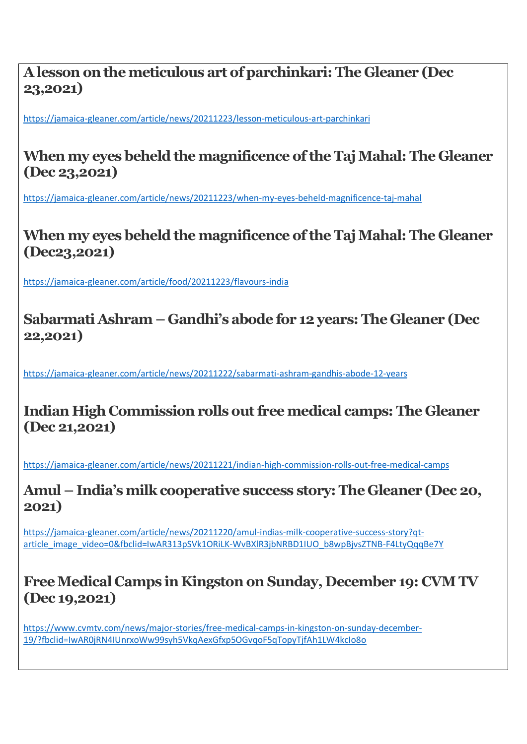### **A lesson on the meticulous art of parchinkari: The Gleaner (Dec 23,2021)**

https://jamaica-gleaner.com/article/news/20211223/lesson-meticulous-art-parchinkari

## **When my eyes beheld the magnificence of the Taj Mahal: The Gleaner (Dec 23,2021)**

<https://jamaica-gleaner.com/article/news/20211223/when-my-eyes-beheld-magnificence-taj-mahal>

## **When my eyes beheld the magnificence of the Taj Mahal: The Gleaner (Dec23,2021)**

<https://jamaica-gleaner.com/article/food/20211223/flavours-india>

### **Sabarmati Ashram – Gandhi's abode for 12 years: The Gleaner (Dec 22,2021)**

https://jamaica-gleaner.com/article/news/20211222/sabarmati-ashram-gandhis-abode-12-years

### **Indian High Commission rolls out free medical camps: The Gleaner (Dec 21,2021)**

<https://jamaica-gleaner.com/article/news/20211221/indian-high-commission-rolls-out-free-medical-camps>

**Amul – India's milk cooperative success story: The Gleaner (Dec 20, 2021)**

[https://jamaica-gleaner.com/article/news/20211220/amul-indias-milk-cooperative-success-story?qt](https://jamaica-gleaner.com/article/news/20211220/amul-indias-milk-cooperative-success-story?qt-article_image_video=0&fbclid=IwAR313pSVk1ORiLK-WvBXlR3jbNRBD1IUO_b8wpBjvsZTNB-F4LtyQqqBe7Y)[article\\_image\\_video=0&fbclid=IwAR313pSVk1ORiLK-WvBXlR3jbNRBD1IUO\\_b8wpBjvsZTNB-F4LtyQqqBe7Y](https://jamaica-gleaner.com/article/news/20211220/amul-indias-milk-cooperative-success-story?qt-article_image_video=0&fbclid=IwAR313pSVk1ORiLK-WvBXlR3jbNRBD1IUO_b8wpBjvsZTNB-F4LtyQqqBe7Y)

## **Free Medical Camps in Kingston on Sunday, December 19: CVM TV (Dec 19,2021)**

[https://www.cvmtv.com/news/major-stories/free-medical-camps-in-kingston-on-sunday-december-](https://www.cvmtv.com/news/major-stories/free-medical-camps-in-kingston-on-sunday-december-19/?fbclid=IwAR0jRN4IUnrxoWw99syh5VkqAexGfxp5OGvqoF5qTopyTjfAh1LW4kcIo8o)[19/?fbclid=IwAR0jRN4IUnrxoWw99syh5VkqAexGfxp5OGvqoF5qTopyTjfAh1LW4kcIo8o](https://www.cvmtv.com/news/major-stories/free-medical-camps-in-kingston-on-sunday-december-19/?fbclid=IwAR0jRN4IUnrxoWw99syh5VkqAexGfxp5OGvqoF5qTopyTjfAh1LW4kcIo8o)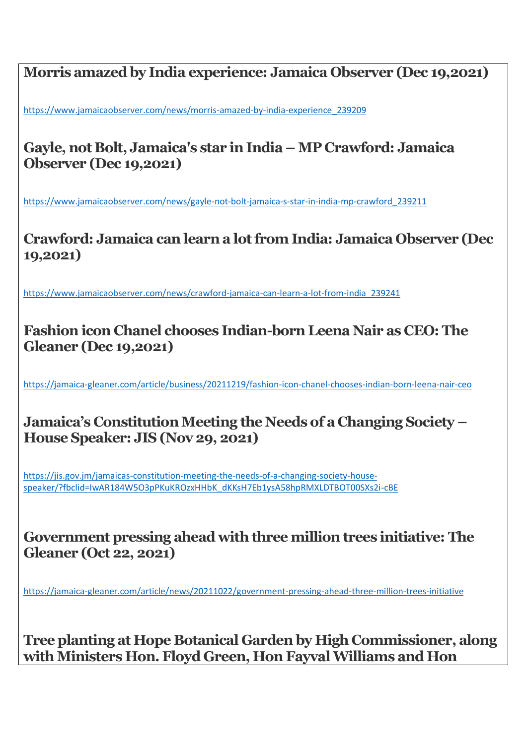**Morris amazed by India experience: Jamaica Observer (Dec 19,2021)**

[https://www.jamaicaobserver.com/news/morris-amazed-by-india-experience\\_239209](https://www.jamaicaobserver.com/news/morris-amazed-by-india-experience_239209)

## **Gayle, not Bolt, Jamaica's star in India – MP Crawford: Jamaica Observer (Dec 19,2021)**

https://www.jamaicaobserver.com/news/gayle-not-bolt-jamaica-s-star-in-india-mp-crawford\_239211

**Crawford: Jamaica can learn a lot from India: Jamaica Observer (Dec 19,2021)**

[https://www.jamaicaobserver.com/news/crawford-jamaica-can-learn-a-lot-from-india\\_239241](https://www.jamaicaobserver.com/news/crawford-jamaica-can-learn-a-lot-from-india_239241)

### **Fashion icon Chanel chooses Indian-born Leena Nair as CEO: The Gleaner (Dec 19,2021)**

https://jamaica-gleaner.com/article/business/20211219/fashion-icon-chanel-chooses-indian-born-leena-nair-ceo

## **Jamaica's Constitution Meeting the Needs of a Changing Society – House Speaker: JIS (Nov 29, 2021)**

[https://jis.gov.jm/jamaicas-constitution-meeting-the-needs-of-a-changing-society-house](https://jis.gov.jm/jamaicas-constitution-meeting-the-needs-of-a-changing-society-house-speaker/?fbclid=IwAR184W5O3pPKuKROzxHHbK_dKKsH7Eb1ysA58hpRMXLDTBOT00SXs2i-cBE)[speaker/?fbclid=IwAR184W5O3pPKuKROzxHHbK\\_dKKsH7Eb1ysA58hpRMXLDTBOT00SXs2i-cBE](https://jis.gov.jm/jamaicas-constitution-meeting-the-needs-of-a-changing-society-house-speaker/?fbclid=IwAR184W5O3pPKuKROzxHHbK_dKKsH7Eb1ysA58hpRMXLDTBOT00SXs2i-cBE)

#### **Government pressing ahead with three million trees initiative: The Gleaner (Oct 22, 2021)**

<https://jamaica-gleaner.com/article/news/20211022/government-pressing-ahead-three-million-trees-initiative>

**Tree planting at Hope Botanical Garden by High Commissioner, along with Ministers Hon. Floyd Green, Hon Fayval Williams and Hon**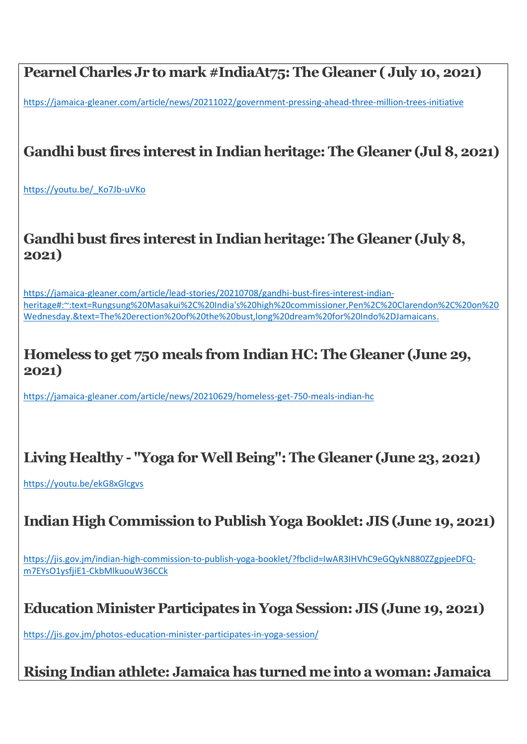# **Pearnel Charles Jr to mark [#IndiaAt75:](https://www.facebook.com/hashtag/indiaat75?__eep__=6&__cft__%5b0%5d=AZWL9JZpsRtAqsqgshDsRhwM-K-udl-2tLWDRYRT62Sg5kJRahTo1tL1KQJxlVhcMK_dyZp6WNqo1AbsM9zpcwTFEdiVvIFN8KnbhJaXDrAENaaOqoQXTM1ubbXlGnd3TobBvOYLVvU6VSTJO3IbdaDk&__tn__=*NK-R) The Gleaner ( July 10, 2021)**

<https://jamaica-gleaner.com/article/news/20211022/government-pressing-ahead-three-million-trees-initiative>

# **Gandhi bust fires interest in Indian heritage: The Gleaner (Jul 8, 2021)**

[https://youtu.be/\\_Ko7Jb-uVKo](https://youtu.be/_Ko7Jb-uVKo)

#### **Gandhi bust fires interest in Indian heritage: The Gleaner (July 8, 2021)**

[https://jamaica-gleaner.com/article/lead-stories/20210708/gandhi-bust-fires-interest-indian](https://jamaica-gleaner.com/article/lead-stories/20210708/gandhi-bust-fires-interest-indian-heritage#:~:text=Rungsung%20Masakui%2C%20India)[heritage#:~:text=Rungsung%20Masakui%2C%20India's%20high%20commissioner,Pen%2C%20Clarendon%2C%20on%20](https://jamaica-gleaner.com/article/lead-stories/20210708/gandhi-bust-fires-interest-indian-heritage#:~:text=Rungsung%20Masakui%2C%20India) [Wednesday.&text=The%20erection%20of%20the%20bust,long%20dream%20for%20Indo%2DJamaicans.](https://jamaica-gleaner.com/article/lead-stories/20210708/gandhi-bust-fires-interest-indian-heritage#:~:text=Rungsung%20Masakui%2C%20India)

#### **Homeless to get 750 meals from Indian HC: The Gleaner (June 29, 2021)**

<https://jamaica-gleaner.com/article/news/20210629/homeless-get-750-meals-indian-hc>

## **Living Healthy - "Yoga for Well Being": The Gleaner (June 23, 2021)**

<https://youtu.be/ekG8xGlcgvs>

## **Indian High Commission to Publish Yoga Booklet: JIS (June 19, 2021)**

[https://jis.gov.jm/indian-high-commission-to-publish-yoga-booklet/?fbclid=IwAR3IHVhC9eGQykN880ZZgpjeeDFQ](https://jis.gov.jm/indian-high-commission-to-publish-yoga-booklet/?fbclid=IwAR3IHVhC9eGQykN880ZZgpjeeDFQ-m7EYsO1ysfjiE1-CkbMlkuouW36CCk)[m7EYsO1ysfjiE1-CkbMlkuouW36CCk](https://jis.gov.jm/indian-high-commission-to-publish-yoga-booklet/?fbclid=IwAR3IHVhC9eGQykN880ZZgpjeeDFQ-m7EYsO1ysfjiE1-CkbMlkuouW36CCk)

#### **Education Minister Participates in Yoga Session: JIS (June 19, 2021)**

<https://jis.gov.jm/photos-education-minister-participates-in-yoga-session/>

#### **Rising Indian athlete: Jamaica has turned me into a woman: Jamaica**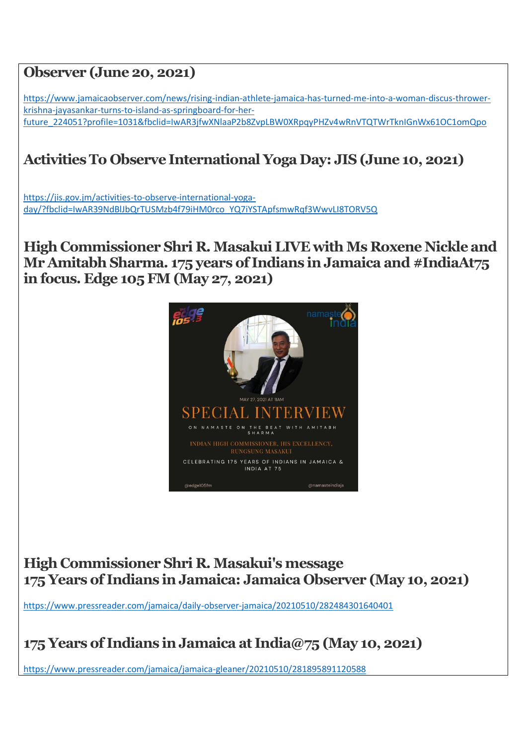### **Observer (June 20, 2021)**

[https://www.jamaicaobserver.com/news/rising-indian-athlete-jamaica-has-turned-me-into-a-woman-discus-thrower](https://www.jamaicaobserver.com/news/rising-indian-athlete-jamaica-has-turned-me-into-a-woman-discus-thrower-krishna-jayasankar-turns-to-island-as-springboard-for-her-future_224051?profile=1031&fbclid=IwAR3jfwXNlaaP2b8ZvpLBW0XRpqyPHZv4wRnVTQTWrTknIGnWx61OC1omQpo)[krishna-jayasankar-turns-to-island-as-springboard-for-her](https://www.jamaicaobserver.com/news/rising-indian-athlete-jamaica-has-turned-me-into-a-woman-discus-thrower-krishna-jayasankar-turns-to-island-as-springboard-for-her-future_224051?profile=1031&fbclid=IwAR3jfwXNlaaP2b8ZvpLBW0XRpqyPHZv4wRnVTQTWrTknIGnWx61OC1omQpo)[future\\_224051?profile=1031&fbclid=IwAR3jfwXNlaaP2b8ZvpLBW0XRpqyPHZv4wRnVTQTWrTknIGnWx61OC1omQpo](https://www.jamaicaobserver.com/news/rising-indian-athlete-jamaica-has-turned-me-into-a-woman-discus-thrower-krishna-jayasankar-turns-to-island-as-springboard-for-her-future_224051?profile=1031&fbclid=IwAR3jfwXNlaaP2b8ZvpLBW0XRpqyPHZv4wRnVTQTWrTknIGnWx61OC1omQpo)

# **Activities To Observe International Yoga Day: JIS (June 10, 2021)**

[https://jis.gov.jm/activities-to-observe-international-yoga](https://jis.gov.jm/activities-to-observe-international-yoga-day/?fbclid=IwAR39NdBlJbQrTUSMzb4f79iHM0rco_YQ7iYSTApfsmwRqf3WwvLI8TORV5Q)[day/?fbclid=IwAR39NdBlJbQrTUSMzb4f79iHM0rco\\_YQ7iYSTApfsmwRqf3WwvLI8TORV5Q](https://jis.gov.jm/activities-to-observe-international-yoga-day/?fbclid=IwAR39NdBlJbQrTUSMzb4f79iHM0rco_YQ7iYSTApfsmwRqf3WwvLI8TORV5Q)

**High Commissioner Shri R. Masakui LIVE with Ms Roxene Nickle and Mr Amitabh Sharma. 175 years of Indians in Jamaica and [#IndiaAt75](https://www.facebook.com/hashtag/indiaat75?__eep__=6&__cft__%5b0%5d=AZWZmRkQOaM0lZ0IAvhP9PyTC1JrvW46wYe_mi3Z6EQF0jmTGz3sM1HYvpCXamXTWO_zzT37t7I246-___rnAjk9zI4LYbY_qM7cfLaWngsoiQsz448a5Lae0da-dX1P_l7qRvLnYFp3KokV1cykLxJ5&__tn__=*NK-R)  in focus. Edge 105 FM (May 27, 2021)**



**High Commissioner Shri R. Masakui's message 175 Years of Indians in Jamaica: Jamaica Observer (May 10, 2021)**

<https://www.pressreader.com/jamaica/daily-observer-jamaica/20210510/282484301640401>

# **175 Years of Indians in Jamaica at India@75 (May 10, 2021)**

<https://www.pressreader.com/jamaica/jamaica-gleaner/20210510/281895891120588>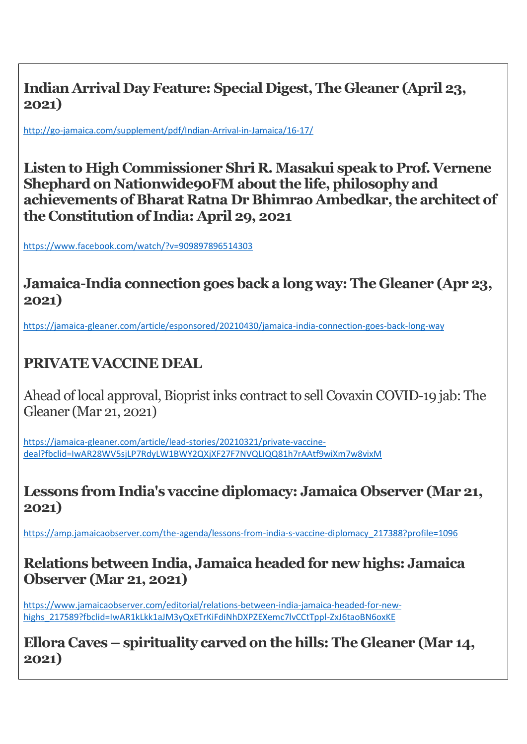**Indian Arrival Day Feature: Special Digest, The Gleaner (April 23, 2021)**

<http://go-jamaica.com/supplement/pdf/Indian-Arrival-in-Jamaica/16-17/>

**Listen to High Commissioner Shri R. Masakui speak to Prof. Vernene Shephard on Nationwide90FM about the life, philosophy and achievements of Bharat Ratna Dr Bhimrao Ambedkar, the architect of the Constitution of India: April 29, 2021**

<https://www.facebook.com/watch/?v=909897896514303>

**Jamaica-India connection goes back a long way: The Gleaner (Apr 23, 2021)**

https://jamaica-gleaner.com/article/esponsored/20210430/jamaica-india-connection-goes-back-long-way

# **PRIVATE VACCINE DEAL**

Ahead of local approval, Bioprist inks contract to sell Covaxin COVID-19 jab: The Gleaner (Mar 21, 2021)

[https://jamaica-gleaner.com/article/lead-stories/20210321/private-vaccine](https://jamaica-gleaner.com/article/lead-stories/20210321/private-vaccine-deal?fbclid=IwAR28WV5sjLP7RdyLW1BWY2QXjXF27F7NVQLIQQ81h7rAAtf9wiXm7w8vixM)[deal?fbclid=IwAR28WV5sjLP7RdyLW1BWY2QXjXF27F7NVQLIQQ81h7rAAtf9wiXm7w8vixM](https://jamaica-gleaner.com/article/lead-stories/20210321/private-vaccine-deal?fbclid=IwAR28WV5sjLP7RdyLW1BWY2QXjXF27F7NVQLIQQ81h7rAAtf9wiXm7w8vixM)

**Lessons from India's vaccine diplomacy: Jamaica Observer (Mar 21, 2021)**

[https://amp.jamaicaobserver.com/the-agenda/lessons-from-india-s-vaccine-diplomacy\\_217388?profile=1096](https://amp.jamaicaobserver.com/the-agenda/lessons-from-india-s-vaccine-diplomacy_217388?profile=1096)

#### **Relations between India, Jamaica headed for new highs: Jamaica Observer (Mar 21, 2021)**

[https://www.jamaicaobserver.com/editorial/relations-between-india-jamaica-headed-for-new](https://www.jamaicaobserver.com/editorial/relations-between-india-jamaica-headed-for-new-highs_217589?fbclid=IwAR1kLkk1aJM3yQxETrKiFdiNhDXPZEXemc7lvCCtTppl-ZxJ6taoBN6oxKE)[highs\\_217589?fbclid=IwAR1kLkk1aJM3yQxETrKiFdiNhDXPZEXemc7lvCCtTppl-ZxJ6taoBN6oxKE](https://www.jamaicaobserver.com/editorial/relations-between-india-jamaica-headed-for-new-highs_217589?fbclid=IwAR1kLkk1aJM3yQxETrKiFdiNhDXPZEXemc7lvCCtTppl-ZxJ6taoBN6oxKE)

**Ellora Caves – spirituality carved on the hills: The Gleaner (Mar 14, 2021)**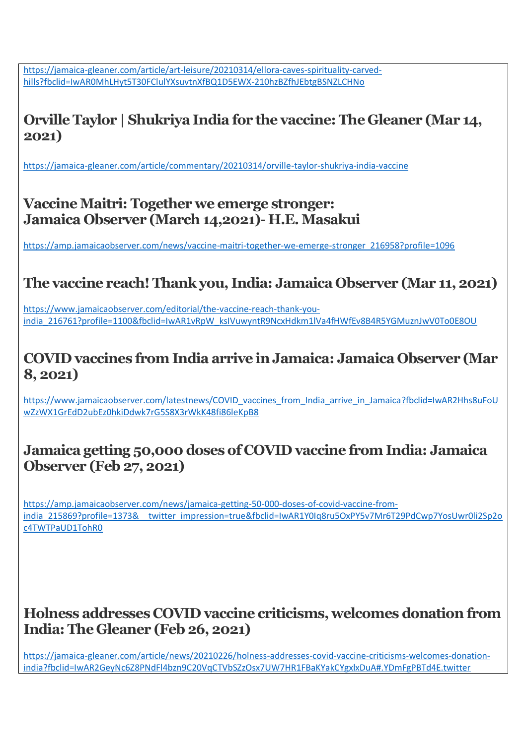[https://jamaica-gleaner.com/article/art-leisure/20210314/ellora-caves-spirituality-carved](https://jamaica-gleaner.com/article/art-leisure/20210314/ellora-caves-spirituality-carved-hills?fbclid=IwAR0MhLHyt5T30FClulYXsuvtnXfBQ1D5EWX-210hzBZfhJEbtgBSNZLCHNo)[hills?fbclid=IwAR0MhLHyt5T30FClulYXsuvtnXfBQ1D5EWX-210hzBZfhJEbtgBSNZLCHNo](https://jamaica-gleaner.com/article/art-leisure/20210314/ellora-caves-spirituality-carved-hills?fbclid=IwAR0MhLHyt5T30FClulYXsuvtnXfBQ1D5EWX-210hzBZfhJEbtgBSNZLCHNo)

# **Orville Taylor | Shukriya India for the vaccine: The Gleaner (Mar 14, 2021)**

<https://jamaica-gleaner.com/article/commentary/20210314/orville-taylor-shukriya-india-vaccine>

**Vaccine Maitri: Together we emerge stronger: Jamaica Observer (March 14,2021)- H.E. Masakui**

[https://amp.jamaicaobserver.com/news/vaccine-maitri-together-we-emerge-stronger\\_216958?profile=1096](https://amp.jamaicaobserver.com/news/vaccine-maitri-together-we-emerge-stronger_216958?profile=1096)

## **The vaccine reach! Thank you, India: Jamaica Observer (Mar 11, 2021)**

[https://www.jamaicaobserver.com/editorial/the-vaccine-reach-thank-you](https://www.jamaicaobserver.com/editorial/the-vaccine-reach-thank-you-india_216761?profile=1100&fbclid=IwAR1vRpW_ksIVuwyntR9NcxHdkm1lVa4fHWfEv8B4R5YGMuznJwV0To0E8OU)[india\\_216761?profile=1100&fbclid=IwAR1vRpW\\_ksIVuwyntR9NcxHdkm1lVa4fHWfEv8B4R5YGMuznJwV0To0E8OU](https://www.jamaicaobserver.com/editorial/the-vaccine-reach-thank-you-india_216761?profile=1100&fbclid=IwAR1vRpW_ksIVuwyntR9NcxHdkm1lVa4fHWfEv8B4R5YGMuznJwV0To0E8OU)

# **COVID vaccines from India arrive in Jamaica: Jamaica Observer (Mar 8, 2021)**

[https://www.jamaicaobserver.com/latestnews/COVID\\_vaccines\\_from\\_India\\_arrive\\_in\\_Jamaica?fbclid=IwAR2Hhs8uFoU](https://www.jamaicaobserver.com/latestnews/COVID_vaccines_from_India_arrive_in_Jamaica?fbclid=IwAR2Hhs8uFoUwZzWX1GrEdD2ubEz0hkiDdwk7rG5S8X3rWkK48fi86leKpB8) [wZzWX1GrEdD2ubEz0hkiDdwk7rG5S8X3rWkK48fi86leKpB8](https://www.jamaicaobserver.com/latestnews/COVID_vaccines_from_India_arrive_in_Jamaica?fbclid=IwAR2Hhs8uFoUwZzWX1GrEdD2ubEz0hkiDdwk7rG5S8X3rWkK48fi86leKpB8)

### **Jamaica getting 50,000 doses of COVID vaccine from India: Jamaica Observer (Feb 27, 2021)**

[https://amp.jamaicaobserver.com/news/jamaica-getting-50-000-doses-of-covid-vaccine-from](https://amp.jamaicaobserver.com/news/jamaica-getting-50-000-doses-of-covid-vaccine-from-india_215869?profile=1373&__twitter_impression=true&fbclid=IwAR1Y0Iq8ru5OxPY5v7Mr6T29PdCwp7YosUwr0li2Sp2oc4TWTPaUD1TohR0)[india\\_215869?profile=1373&\\_\\_twitter\\_impression=true&fbclid=IwAR1Y0Iq8ru5OxPY5v7Mr6T29PdCwp7YosUwr0li2Sp2o](https://amp.jamaicaobserver.com/news/jamaica-getting-50-000-doses-of-covid-vaccine-from-india_215869?profile=1373&__twitter_impression=true&fbclid=IwAR1Y0Iq8ru5OxPY5v7Mr6T29PdCwp7YosUwr0li2Sp2oc4TWTPaUD1TohR0) [c4TWTPaUD1TohR0](https://amp.jamaicaobserver.com/news/jamaica-getting-50-000-doses-of-covid-vaccine-from-india_215869?profile=1373&__twitter_impression=true&fbclid=IwAR1Y0Iq8ru5OxPY5v7Mr6T29PdCwp7YosUwr0li2Sp2oc4TWTPaUD1TohR0)

### **Holness addresses COVID vaccine criticisms, welcomes donation from India: The Gleaner (Feb 26, 2021)**

[https://jamaica-gleaner.com/article/news/20210226/holness-addresses-covid-vaccine-criticisms-welcomes-donation](https://jamaica-gleaner.com/article/news/20210226/holness-addresses-covid-vaccine-criticisms-welcomes-donation-india?fbclid=IwAR2GeyNc6Z8PNdFl4bzn9C20VqCTVbSZzOsx7UW7HR1FBaKYakCYgxlxDuA#.YDmFgPBTd4E.twitter)[india?fbclid=IwAR2GeyNc6Z8PNdFl4bzn9C20VqCTVbSZzOsx7UW7HR1FBaKYakCYgxlxDuA#.YDmFgPBTd4E.twitter](https://jamaica-gleaner.com/article/news/20210226/holness-addresses-covid-vaccine-criticisms-welcomes-donation-india?fbclid=IwAR2GeyNc6Z8PNdFl4bzn9C20VqCTVbSZzOsx7UW7HR1FBaKYakCYgxlxDuA#.YDmFgPBTd4E.twitter)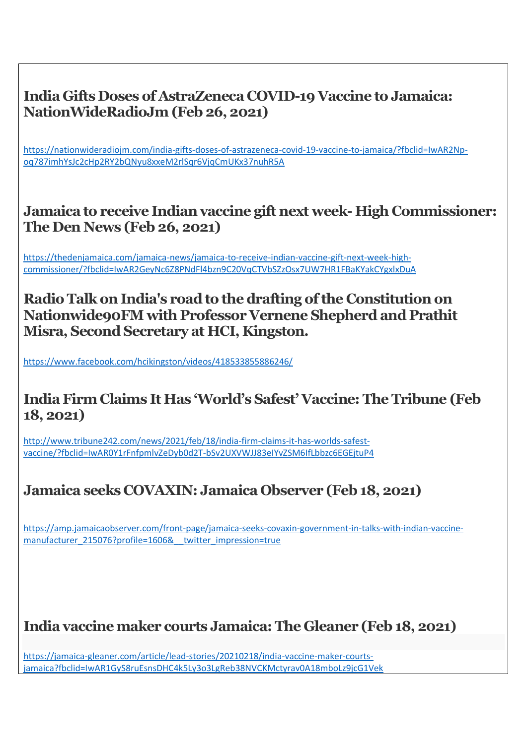

https://www.facebook.com/hcikingston/videos/418533855886246/

#### **India Firm Claims It Has 'World's Safest' Vaccine: The Tribune (Feb 18, 2021)**

[http://www.tribune242.com/news/2021/feb/18/india-firm-claims-it-has-worlds-safest](http://www.tribune242.com/news/2021/feb/18/india-firm-claims-it-has-worlds-safest-vaccine/?fbclid=IwAR0Y1rFnfpmlvZeDyb0d2T-bSv2UXVWJJ83eIYvZSM6IfLbbzc6EGEjtuP4)[vaccine/?fbclid=IwAR0Y1rFnfpmlvZeDyb0d2T-bSv2UXVWJJ83eIYvZSM6IfLbbzc6EGEjtuP4](http://www.tribune242.com/news/2021/feb/18/india-firm-claims-it-has-worlds-safest-vaccine/?fbclid=IwAR0Y1rFnfpmlvZeDyb0d2T-bSv2UXVWJJ83eIYvZSM6IfLbbzc6EGEjtuP4)

## **Jamaica seeks COVAXIN: Jamaica Observer (Feb 18, 2021)**

[https://amp.jamaicaobserver.com/front-page/jamaica-seeks-covaxin-government-in-talks-with-indian-vaccine](https://amp.jamaicaobserver.com/front-page/jamaica-seeks-covaxin-government-in-talks-with-indian-vaccine-manufacturer_215076?profile=1606&__twitter_impression=true)[manufacturer\\_215076?profile=1606&\\_\\_twitter\\_impression=true](https://amp.jamaicaobserver.com/front-page/jamaica-seeks-covaxin-government-in-talks-with-indian-vaccine-manufacturer_215076?profile=1606&__twitter_impression=true)

## **India vaccine maker courts Jamaica: The Gleaner (Feb 18, 2021)**

https://jamaica-gleaner.com/article/lead-stories/20210218/india-vaccine-maker-courtsjamaica?fbclid=IwAR1GyS8ruEsnsDHC4k5Ly3o3LgReb38NVCKMctyrav0A18mboLz9jcG1Vek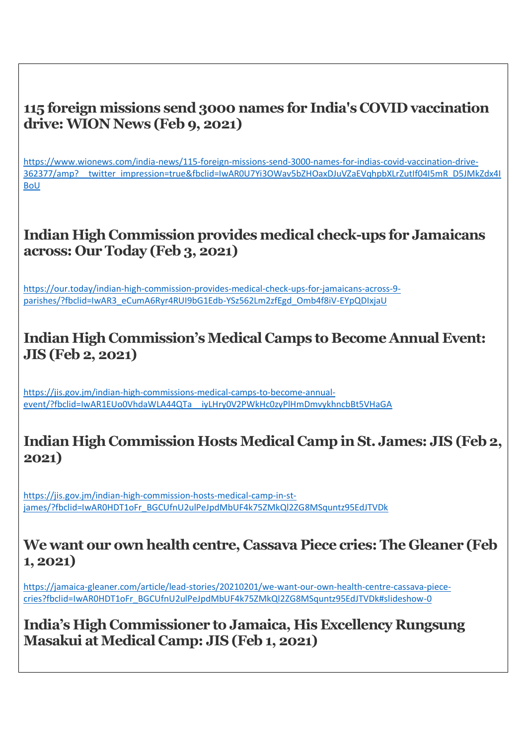#### **115 foreign missions send 3000 names for India's COVID vaccination drive: WION News (Feb 9, 2021)**

[https://www.wionews.com/india-news/115-foreign-missions-send-3000-names-for-indias-covid-vaccination-drive-](https://www.wionews.com/india-news/115-foreign-missions-send-3000-names-for-indias-covid-vaccination-drive-362377/amp?__twitter_impression=true&fbclid=IwAR0U7Yi3OWav5bZHOaxDJuVZaEVqhpbXLrZutIf04I5mR_D5JMkZdx4IBoU)[362377/amp?\\_\\_twitter\\_impression=true&fbclid=IwAR0U7Yi3OWav5bZHOaxDJuVZaEVqhpbXLrZutIf04I5mR\\_D5JMkZdx4I](https://www.wionews.com/india-news/115-foreign-missions-send-3000-names-for-indias-covid-vaccination-drive-362377/amp?__twitter_impression=true&fbclid=IwAR0U7Yi3OWav5bZHOaxDJuVZaEVqhpbXLrZutIf04I5mR_D5JMkZdx4IBoU) [BoU](https://www.wionews.com/india-news/115-foreign-missions-send-3000-names-for-indias-covid-vaccination-drive-362377/amp?__twitter_impression=true&fbclid=IwAR0U7Yi3OWav5bZHOaxDJuVZaEVqhpbXLrZutIf04I5mR_D5JMkZdx4IBoU)

## **Indian High Commission provides medical check-ups for Jamaicans across: Our Today (Feb 3, 2021)**

[https://our.today/indian-high-commission-provides-medical-check-ups-for-jamaicans-across-9](https://our.today/indian-high-commission-provides-medical-check-ups-for-jamaicans-across-9-parishes/?fbclid=IwAR3_eCumA6Ryr4RUI9bG1Edb-YSz562Lm2zfEgd_Omb4f8iV-EYpQDIxjaU) [parishes/?fbclid=IwAR3\\_eCumA6Ryr4RUI9bG1Edb-YSz562Lm2zfEgd\\_Omb4f8iV-EYpQDIxjaU](https://our.today/indian-high-commission-provides-medical-check-ups-for-jamaicans-across-9-parishes/?fbclid=IwAR3_eCumA6Ryr4RUI9bG1Edb-YSz562Lm2zfEgd_Omb4f8iV-EYpQDIxjaU)

## **Indian High Commission's Medical Camps to Become Annual Event: JIS (Feb 2, 2021)**

https://jis.gov.jm/indian-high-commissions-medical-camps-to-become-annualevent/?fbclid=IwAR1EUo0VhdaWLA44QTa\_\_iyLHry0V2PWkHc0zyPlHmDmvykhncbBt5VHaGA

#### **Indian High Commission Hosts Medical Camp in St. James: JIS (Feb 2, 2021)**

[https://jis.gov.jm/indian-high-commission-hosts-medical-camp-in-st](https://jis.gov.jm/indian-high-commission-hosts-medical-camp-in-st-james/?fbclid=IwAR0HDT1oFr_BGCUfnU2ulPeJpdMbUF4k75ZMkQl2ZG8MSquntz95EdJTVDk)[james/?fbclid=IwAR0HDT1oFr\\_BGCUfnU2ulPeJpdMbUF4k75ZMkQl2ZG8MSquntz95EdJTVDk](https://jis.gov.jm/indian-high-commission-hosts-medical-camp-in-st-james/?fbclid=IwAR0HDT1oFr_BGCUfnU2ulPeJpdMbUF4k75ZMkQl2ZG8MSquntz95EdJTVDk)

#### **We want our own health centre, Cassava Piece cries: The Gleaner (Feb 1, 2021)**

https://jamaica-gleaner.com/article/lead-stories/20210201/we-want-our-own-health-centre-cassava-piececries?fbclid=IwAR0HDT1oFr\_BGCUfnU2ulPeJpdMbUF4k75ZMkQl2ZG8MSquntz95EdJTVDk#slideshow-0

**India's High Commissioner to Jamaica, His Excellency Rungsung Masakui at Medical Camp: JIS (Feb 1, 2021)**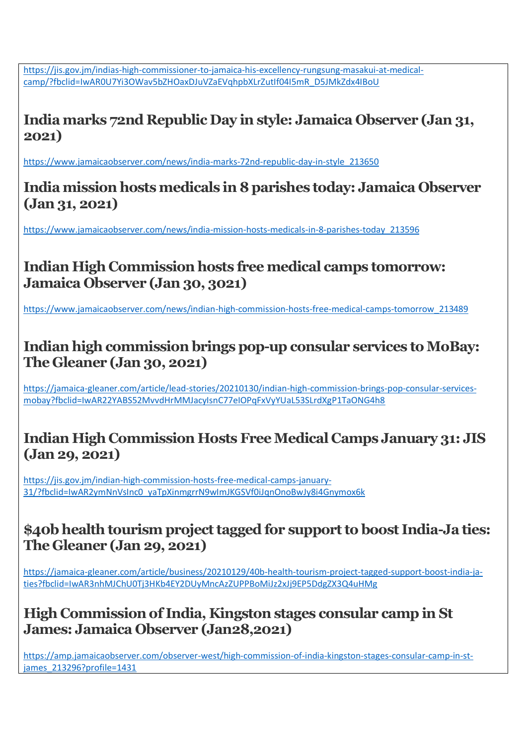[https://jis.gov.jm/indias-high-commissioner-to-jamaica-his-excellency-rungsung-masakui-at-medical](https://jis.gov.jm/indias-high-commissioner-to-jamaica-his-excellency-rungsung-masakui-at-medical-camp/?fbclid=IwAR0U7Yi3OWav5bZHOaxDJuVZaEVqhpbXLrZutIf04I5mR_D5JMkZdx4IBoU)[camp/?fbclid=IwAR0U7Yi3OWav5bZHOaxDJuVZaEVqhpbXLrZutIf04I5mR\\_D5JMkZdx4IBoU](https://jis.gov.jm/indias-high-commissioner-to-jamaica-his-excellency-rungsung-masakui-at-medical-camp/?fbclid=IwAR0U7Yi3OWav5bZHOaxDJuVZaEVqhpbXLrZutIf04I5mR_D5JMkZdx4IBoU)

## **India marks 72nd Republic Day in style: Jamaica Observer (Jan 31, 2021)**

[https://www.jamaicaobserver.com/news/india-marks-72nd-republic-day-in-style\\_213650](https://www.jamaicaobserver.com/news/india-marks-72nd-republic-day-in-style_213650)

#### **India mission hosts medicals in 8 parishes today: Jamaica Observer (Jan 31, 2021)**

[https://www.jamaicaobserver.com/news/india-mission-hosts-medicals-in-8-parishes-today\\_213596](https://www.jamaicaobserver.com/news/india-mission-hosts-medicals-in-8-parishes-today_213596)

# **Indian High Commission hosts free medical camps tomorrow: Jamaica Observer (Jan 30, 3021)**

https://www.jamaicaobserver.com/news/indian-high-commission-hosts-free-medical-camps-tomorrow\_213489

## **Indian high commission brings pop-up consular services to MoBay: The Gleaner (Jan 30, 2021)**

https://jamaica-gleaner.com/article/lead-stories/20210130/indian-high-commission-brings-pop-consular-servicesmobay?fbclid=IwAR22YABS52MvvdHrMMJacyIsnC77eIOPqFxVyYUaL53SLrdXgP1TaONG4h8

### **Indian High Commission Hosts Free Medical Camps January 31: JIS (Jan 29, 2021)**

https://jis.gov.jm/indian-high-commission-hosts-free-medical-camps-january-31/?fbclid=IwAR2ymNnVsInc0\_yaTpXinmgrrN9wImJKGSVf0iJqnOnoBwJy8i4Gnymox6k

### **\$40b health tourism project tagged for support to boost India-Ja ties: The Gleaner (Jan 29, 2021)**

https://jamaica-gleaner.com/article/business/20210129/40b-health-tourism-project-tagged-support-boost-india-jaties?fbclid=IwAR3nhMJChU0Tj3HKb4EY2DUyMncAzZUPPBoMiJz2xJj9EP5DdgZX3Q4uHMg

## **High Commission of India, Kingston stages consular camp in St James: Jamaica Observer (Jan28,2021)**

https://amp.jamaicaobserver.com/observer-west/high-commission-of-india-kingston-stages-consular-camp-in-stjames\_213296?profile=1431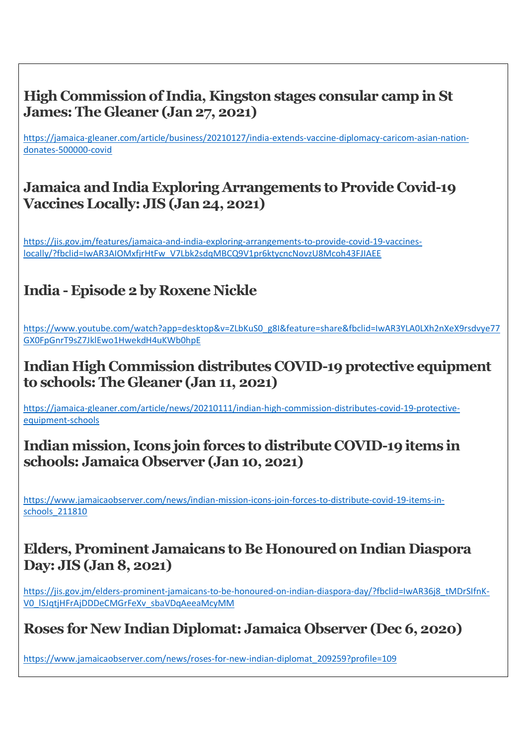## **High Commission of India, Kingston stages consular camp in St James: The Gleaner (Jan 27, 2021)**

[https://jamaica-gleaner.com/article/business/20210127/india-extends-vaccine-diplomacy-caricom-asian-nation](https://jamaica-gleaner.com/article/business/20210127/india-extends-vaccine-diplomacy-caricom-asian-nation-donates-500000-covid)[donates-500000-covid](https://jamaica-gleaner.com/article/business/20210127/india-extends-vaccine-diplomacy-caricom-asian-nation-donates-500000-covid)

### **Jamaica and India Exploring Arrangements to Provide Covid-19 Vaccines Locally: JIS (Jan 24, 2021)**

[https://jis.gov.jm/features/jamaica-and-india-exploring-arrangements-to-provide-covid-19-vaccines](https://jis.gov.jm/features/jamaica-and-india-exploring-arrangements-to-provide-covid-19-vaccines-locally/?fbclid=IwAR3AIOMxfjrHtFw_V7Lbk2sdqMBCQ9V1pr6ktycncNovzU8Mcoh43FJIAEE)[locally/?fbclid=IwAR3AIOMxfjrHtFw\\_V7Lbk2sdqMBCQ9V1pr6ktycncNovzU8Mcoh43FJIAEE](https://jis.gov.jm/features/jamaica-and-india-exploring-arrangements-to-provide-covid-19-vaccines-locally/?fbclid=IwAR3AIOMxfjrHtFw_V7Lbk2sdqMBCQ9V1pr6ktycncNovzU8Mcoh43FJIAEE)

# **India - Episode 2 by [Roxene Nickle](https://www.youtube.com/channel/UC0doWc5_jymG7dUTWQkYpdw)**

[https://www.youtube.com/watch?app=desktop&v=ZLbKuS0\\_g8I&feature=share&fbclid=IwAR3YLA0LXh2nXeX9rsdvye77](https://www.youtube.com/watch?app=desktop&v=ZLbKuS0_g8I&feature=share&fbclid=IwAR3YLA0LXh2nXeX9rsdvye77GX0FpGnrT9sZ7JklEwo1HwekdH4uKWb0hpE) [GX0FpGnrT9sZ7JklEwo1HwekdH4uKWb0hpE](https://www.youtube.com/watch?app=desktop&v=ZLbKuS0_g8I&feature=share&fbclid=IwAR3YLA0LXh2nXeX9rsdvye77GX0FpGnrT9sZ7JklEwo1HwekdH4uKWb0hpE)

#### **Indian High Commission distributes COVID-19 protective equipment to schools: The Gleaner (Jan 11, 2021)**

[https://jamaica-gleaner.com/article/news/20210111/indian-high-commission-distributes-covid-19-protective](https://jamaica-gleaner.com/article/news/20210111/indian-high-commission-distributes-covid-19-protective-equipment-schools)[equipment-schools](https://jamaica-gleaner.com/article/news/20210111/indian-high-commission-distributes-covid-19-protective-equipment-schools)

#### **Indian mission, Icons join forces to distribute COVID-19 items in schools: Jamaica Observer (Jan 10, 2021)**

[https://www.jamaicaobserver.com/news/indian-mission-icons-join-forces-to-distribute-covid-19-items-in](https://www.jamaicaobserver.com/news/indian-mission-icons-join-forces-to-distribute-covid-19-items-in-schools_211810)[schools\\_211810](https://www.jamaicaobserver.com/news/indian-mission-icons-join-forces-to-distribute-covid-19-items-in-schools_211810)

#### **Elders, Prominent Jamaicans to Be Honoured on Indian Diaspora Day: JIS (Jan 8, 2021)**

[https://jis.gov.jm/elders-prominent-jamaicans-to-be-honoured-on-indian-diaspora-day/?fbclid=IwAR36j8\\_tMDrSIfnK-](https://jis.gov.jm/elders-prominent-jamaicans-to-be-honoured-on-indian-diaspora-day/?fbclid=IwAR36j8_tMDrSIfnK-V0_lSJqtjHFrAjDDDeCMGrFeXv_sbaVDqAeeaMcyMM)[V0\\_lSJqtjHFrAjDDDeCMGrFeXv\\_sbaVDqAeeaMcyMM](https://jis.gov.jm/elders-prominent-jamaicans-to-be-honoured-on-indian-diaspora-day/?fbclid=IwAR36j8_tMDrSIfnK-V0_lSJqtjHFrAjDDDeCMGrFeXv_sbaVDqAeeaMcyMM)

## **Roses for New Indian Diplomat: Jamaica Observer (Dec 6, 2020)**

[https://www.jamaicaobserver.com/news/roses-for-new-indian-diplomat\\_209259?profile=109](https://www.jamaicaobserver.com/news/roses-for-new-indian-diplomat_209259?profile=109)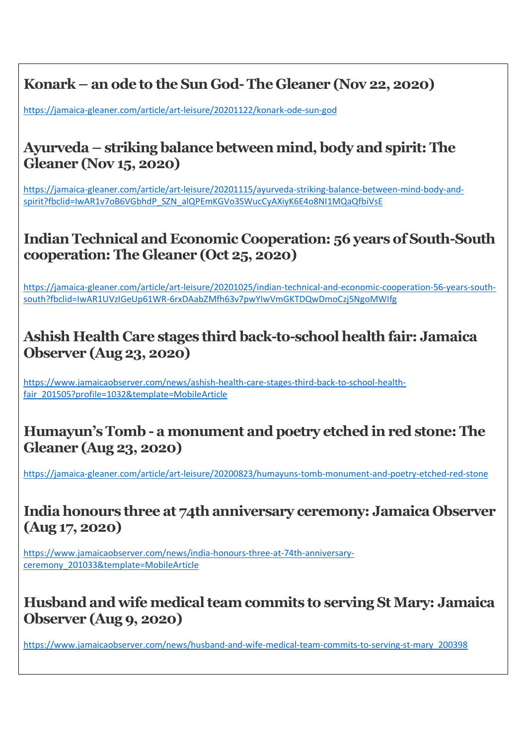# **Konark – an ode to the Sun God-The Gleaner (Nov 22, 2020)**

<https://jamaica-gleaner.com/article/art-leisure/20201122/konark-ode-sun-god>

#### **Ayurveda – striking balance between mind, body and spirit: The Gleaner (Nov 15, 2020)**

https://jamaica-gleaner.com/article/art-leisure/20201115/ayurveda-striking-balance-between-mind-body-andspirit?fbclid=IwAR1v7oB6VGbhdP\_SZN\_alQPEmKGVo3SWucCyAXiyK6E4o8NI1MQaQfbiVsE

#### **Indian Technical and Economic Cooperation: 56 years of South-South cooperation: The Gleaner (Oct 25, 2020)**

[https://jamaica-gleaner.com/article/art-leisure/20201025/indian-technical-and-economic-cooperation-56-years-south](https://jamaica-gleaner.com/article/art-leisure/20201025/indian-technical-and-economic-cooperation-56-years-south-south?fbclid=IwAR1UVzIGeUp61WR-6rxDAabZMfh63v7pwYIwVmGKTDQwDmoCzj5NgoMWIfg)[south?fbclid=IwAR1UVzIGeUp61WR-6rxDAabZMfh63v7pwYIwVmGKTDQwDmoCzj5NgoMWIfg](https://jamaica-gleaner.com/article/art-leisure/20201025/indian-technical-and-economic-cooperation-56-years-south-south?fbclid=IwAR1UVzIGeUp61WR-6rxDAabZMfh63v7pwYIwVmGKTDQwDmoCzj5NgoMWIfg)

### **Ashish Health Care stages third back-to-school health fair: Jamaica Observer (Aug 23, 2020)**

https://www.jamaicaobserver.com/news/ashish-health-care-stages-third-back-to-school-healthfair\_201505?profile=1032&template=MobileArticle

#### **Humayun's Tomb - a monument and poetry etched in red stone: The Gleaner (Aug 23, 2020)**

https://jamaica-gleaner.com/article/art-leisure/20200823/humayuns-tomb-monument-and-poetry-etched-red-stone

### **India honours three at 74th anniversary ceremony: Jamaica Observer (Aug 17, 2020)**

https://www.jamaicaobserver.com/news/india-honours-three-at-74th-anniversaryceremony\_201033&template=MobileArticle

#### **Husband and wife medical team commits to serving St Mary: Jamaica Observer (Aug 9, 2020)**

https://www.jamaicaobserver.com/news/husband-and-wife-medical-team-commits-to-serving-st-mary\_200398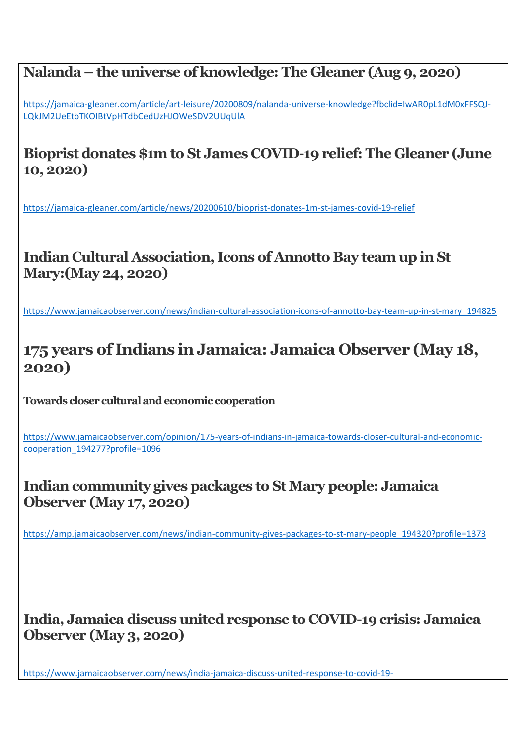## **Nalanda – the universe of knowledge: The Gleaner (Aug 9, 2020)**

https://jamaica-gleaner.com/article/art-leisure/20200809/nalanda-universe-knowledge?fbclid=IwAR0pL1dM0xFFSQJ-LQkJM2UeEtbTKOIBtVpHTdbCedUzHJOWeSDV2UUqUlA

## **Bioprist donates \$1m to St James COVID-19 relief: The Gleaner (June 10, 2020)**

<https://jamaica-gleaner.com/article/news/20200610/bioprist-donates-1m-st-james-covid-19-relief>

# **Indian Cultural Association, Icons of Annotto Bay team up in St Mary:(May 24, 2020)**

[https://www.jamaicaobserver.com/news/indian-cultural-association-icons-of-annotto-bay-team-up-in-st-mary\\_194825](https://www.jamaicaobserver.com/news/indian-cultural-association-icons-of-annotto-bay-team-up-in-st-mary_194825)

# **175 years of Indians in Jamaica: Jamaica Observer (May 18, 2020)**

**Towards closer cultural and economic cooperation**

https://www.jamaicaobserver.com/opinion/175-years-of-indians-in-jamaica-towards-closer-cultural-and-economiccooperation\_194277?profile=1096

#### **Indian community gives packages to St Mary people: Jamaica Observer (May 17, 2020)**

[https://amp.jamaicaobserver.com/news/indian-community-gives-packages-to-st-mary-people\\_194320?profile=1373](https://amp.jamaicaobserver.com/news/indian-community-gives-packages-to-st-mary-people_194320?profile=1373)

### **India, Jamaica discuss united response to COVID-19 crisis: Jamaica Observer (May 3, 2020)**

[https://www.jamaicaobserver.com/news/india-jamaica-discuss-united-response-to-covid-19-](https://www.jamaicaobserver.com/news/india-jamaica-discuss-united-response-to-covid-19-crisis_193335?fbclid=IwAR193n9lSGfi2U78ZpKx1SpFgEbgrkm6nCPsqn0pCEvKMEEP0lbE3NoMx94)